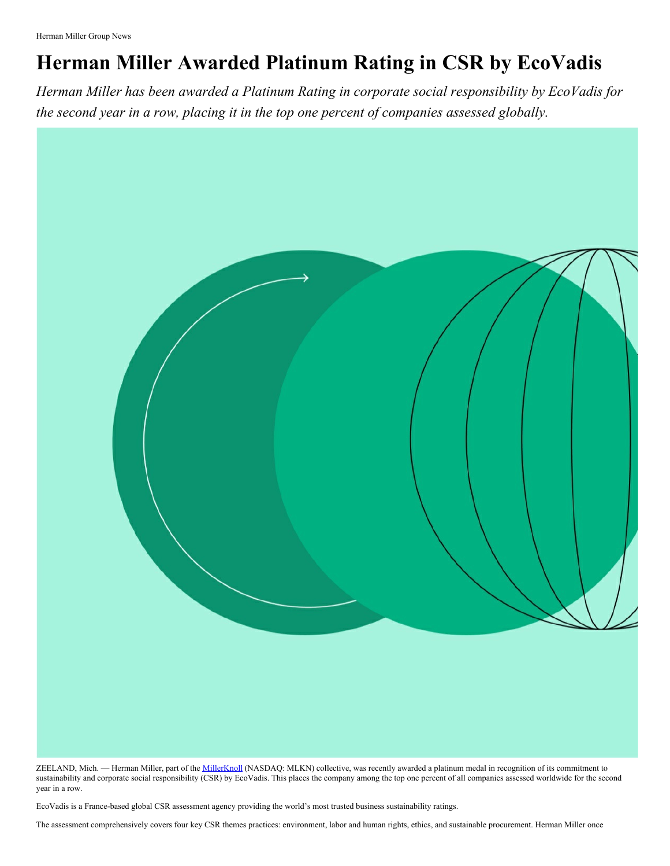## **Herman Miller Awarded Platinum Rating in CSR by EcoVadis**

*Herman Miller has been awarded a Platinum Rating in corporate social responsibility by EcoVadis for the second year in a row, placing it in the top one percent of companies assessed globally.*



ZEELAND, Mich. - Herman Miller, part of the [MillerKnoll](http://www.millerknoll.com/) (NASDAQ: MLKN) collective, was recently awarded a platinum medal in recognition of its commitment to sustainability and corporate social responsibility (CSR) by EcoVadis. This places the company among the top one percent of all companies assessed worldwide for the second year in a row.

EcoVadis is a France-based global CSR assessment agency providing the world's most trusted business sustainability ratings.

The assessment comprehensively covers four key CSR themes practices: environment, labor and human rights, ethics, and sustainable procurement. Herman Miller once